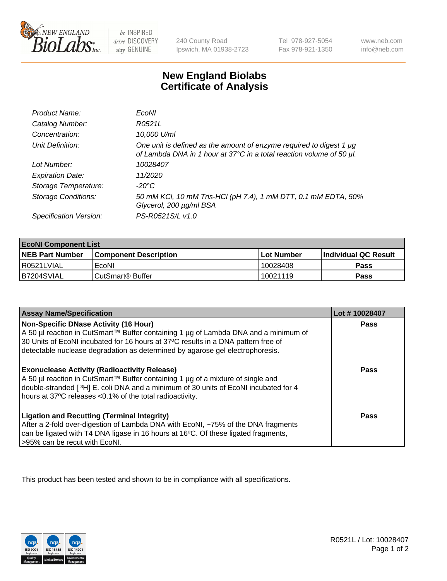

 $be$  INSPIRED drive DISCOVERY stay GENUINE

240 County Road Ipswich, MA 01938-2723 Tel 978-927-5054 Fax 978-921-1350 www.neb.com info@neb.com

## **New England Biolabs Certificate of Analysis**

| Product Name:              | EcoNI                                                                                                                                            |
|----------------------------|--------------------------------------------------------------------------------------------------------------------------------------------------|
| Catalog Number:            | R0521L                                                                                                                                           |
| Concentration:             | 10,000 U/ml                                                                                                                                      |
| Unit Definition:           | One unit is defined as the amount of enzyme required to digest 1 $\mu$ g<br>of Lambda DNA in 1 hour at 37°C in a total reaction volume of 50 µl. |
| Lot Number:                | 10028407                                                                                                                                         |
| <b>Expiration Date:</b>    | 11/2020                                                                                                                                          |
| Storage Temperature:       | -20°C                                                                                                                                            |
| <b>Storage Conditions:</b> | 50 mM KCl, 10 mM Tris-HCl (pH 7.4), 1 mM DTT, 0.1 mM EDTA, 50%<br>Glycerol, 200 µg/ml BSA                                                        |
| Specification Version:     | PS-R0521S/L v1.0                                                                                                                                 |

| <b>EcoNI Component List</b> |                              |             |                             |  |
|-----------------------------|------------------------------|-------------|-----------------------------|--|
| <b>NEB Part Number</b>      | <b>Component Description</b> | ⊺Lot Number | <b>Individual QC Result</b> |  |
| I R0521LVIAL                | EcoNI                        | 10028408    | Pass                        |  |
| B7204SVIAL                  | CutSmart <sup>®</sup> Buffer | 10021119    | Pass                        |  |

| <b>Assay Name/Specification</b>                                                                                                                                                                                                                                                                           | Lot #10028407 |
|-----------------------------------------------------------------------------------------------------------------------------------------------------------------------------------------------------------------------------------------------------------------------------------------------------------|---------------|
| <b>Non-Specific DNase Activity (16 Hour)</b><br>A 50 µl reaction in CutSmart™ Buffer containing 1 µg of Lambda DNA and a minimum of<br>30 Units of EcoNI incubated for 16 hours at 37°C results in a DNA pattern free of<br>detectable nuclease degradation as determined by agarose gel electrophoresis. | Pass          |
| <b>Exonuclease Activity (Radioactivity Release)</b><br>A 50 µl reaction in CutSmart™ Buffer containing 1 µg of a mixture of single and<br>double-stranded [3H] E. coli DNA and a minimum of 30 units of EcoNI incubated for 4<br>hours at 37°C releases <0.1% of the total radioactivity.                 | Pass          |
| <b>Ligation and Recutting (Terminal Integrity)</b><br>After a 2-fold over-digestion of Lambda DNA with EcoNI, ~75% of the DNA fragments<br>can be ligated with T4 DNA ligase in 16 hours at 16°C. Of these ligated fragments,<br>>95% can be recut with EcoNI.                                            | Pass          |

This product has been tested and shown to be in compliance with all specifications.